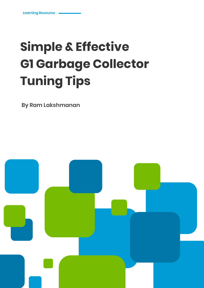# **Simple & Effective G1 Garbage Collector Tuning Tips**

**By Ram Lakshmanan**

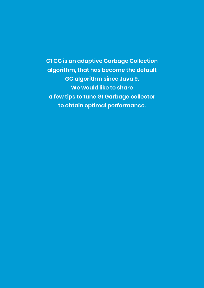**G1 GC is an adaptive Garbage Collection algorithm, that has become the default GC algorithm since Java 9. We would like to share a few tips to tune G1 Garbage collector to obtain optimal performance.**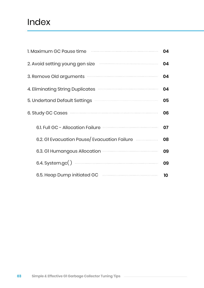# Index

| 1. Maximum GC Pause time                                                              | 04 |
|---------------------------------------------------------------------------------------|----|
| 2. Avoid setting young gen size                                                       | 04 |
| 3. Remove Old arguments <b>manual contracts</b>                                       | 04 |
| 4. Eliminating String Duplicates <b>Constitution</b> 2. Eliminating String Duplicates | 04 |
| 5. Undertand Default Settings <b>From Constanting</b>                                 | 05 |
| 6. Study GC Cases                                                                     | 06 |
| 6.1. Full GC - Allocation Failure <b>Constitution</b>                                 | 07 |
| 6.2. GI Evacuation Pause/ Evacuation Failure                                          | 08 |
|                                                                                       | 09 |
|                                                                                       | 09 |
| 6.5. Heap Dump initiated GC                                                           | 10 |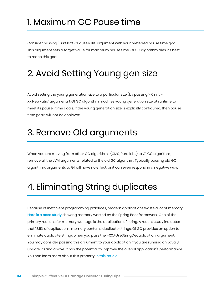### 1. Maximum GC Pause time

Consider passing '-XX:MaxGCPauseMillis' argument with your preferred pause time goal. This argument sets a target value for maximum pause time. G1 GC algorithm tries it's best to reach this goal.

# 2. Avoid Setting Young gen size

Avoid setting the young generation size to a particular size (by passing '-Xmn', '- XX:NewRatio' arguments). G1 GC algorithm modifies young generation size at runtime to meet its pause -time goals. If the young generation size is explicitly configured, then pause time goals will not be achieved.

# 3. Remove Old arguments

When you are moving from other GC algorithms (CMS, Parallel, ...) to G1 GC algorithm, remove all the JVM arguments related to the old GC algorithm. Typically passing old GC algorithms arguments to G1 will have no effect, or it can even respond in a negative way.

# 4. Eliminating String duplicates

Because of inefficient programming practices, modern applications waste a lot of memory. [Here is a case study](https://dzone.com/articles/memory-wasted-by-spring-boot-application) showing memory wasted by the Spring Boot framework. One of the primary reasons for memory wastage is the duplication of string. A recent study indicates that 13.5% of application's memory contains duplicate strings. G1 GC provides an option to eliminate duplicate strings when you pass the '-XX:+UseStringDeduplication' argument. You may consider passing this argument to your application if you are running on Java 8 update 20 and above. It has the potential to improve the overall application's performance. You can learn more about this property [in this article](https://blog.gceasy.io/2018/12/23/usestringdeduplication/).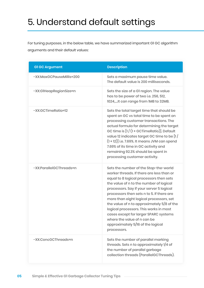# 5. Understand default settings

For tuning purposes, in the below table, we have summarized important G1 GC algorithm arguments and their default values:

| <b>G1 GC Argument</b>    | <b>Description</b>                                                                                                                                                                                                                                                                                                                                                                                                                                                                                                               |
|--------------------------|----------------------------------------------------------------------------------------------------------------------------------------------------------------------------------------------------------------------------------------------------------------------------------------------------------------------------------------------------------------------------------------------------------------------------------------------------------------------------------------------------------------------------------|
| -XX:MaxGCPauseMillis=200 | Sets a maximum pause time value.<br>The default value is 200 milliseconds.                                                                                                                                                                                                                                                                                                                                                                                                                                                       |
| -XX:G1HeapRegionSize=n   | Sets the size of a GI region. The value<br>has to be power of two i.e. 256, 512,<br>1024,It can range from 1MB to 32MB.                                                                                                                                                                                                                                                                                                                                                                                                          |
| -XX:GCTimeRatio=12       | Sets the total target time that should be<br>spent on GC vs total time to be spent on<br>processing customer transactions. The<br>actual formula for determining the target<br>GC time is $[1/(1+GCTimeRatio)]$ . Default<br>value 12 indicates target GC time to be $\left[1\right/$<br>$(1+12)$ ] i.e. 7.69%. It means JVM can spend<br>7.69% of its time in GC activity and<br>remaining 92.3% should be spent in<br>processing customer activity.                                                                            |
| -XX:ParallelGCThreads=n  | Sets the number of the Stop-the-world<br>worker threads. If there are less than or<br>equal to 8 logical processors then sets<br>the value of n to the number of logical<br>processors. Say if your server 5 logical<br>processors then sets n to 5. If there are<br>more than eight logical processors, set<br>the value of n to approximately 5/8 of the<br>logical processors. This works in most<br>cases except for larger SPARC systems<br>where the value of n can be<br>approximately 5/16 of the logical<br>processors. |
| -XX:ConcGCThreads=n      | Sets the number of parallel marking<br>threads. Sets n to approximately 1/4 of<br>the number of parallel garbage<br>collection threads (ParallelGCThreads).                                                                                                                                                                                                                                                                                                                                                                      |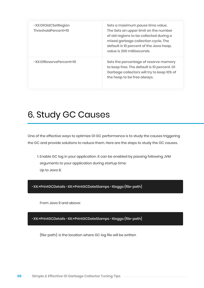| -XX:GIOIdCSetRegion<br>ThresholdPercent=10 | Sets a maximum pause time value.<br>The Sets an upper limit on the number<br>of old regions to be collected during a<br>mixed garbage collection cycle. The<br>default is 10 percent of the Java heap.<br>value is 200 milliseconds. |
|--------------------------------------------|--------------------------------------------------------------------------------------------------------------------------------------------------------------------------------------------------------------------------------------|
| -XX:GIReservePercent=10                    | Sets the percentage of reserve memory<br>to keep free. The default is 10 percent. GI<br>Garbage collectors will try to keep 10% of<br>the heap to be free always.                                                                    |

# 6. Study GC Causes

One of the effective ways to optimize G1 GC performance is to study the causes triggering the GC and provide solutions to reduce them. Here are the steps to study the GC causes.

1. Enable GC log in your application. It can be enabled by passing following JVM arguments to your application during startup time: Up to Java 8:

-XX:+PrintGCDetails -XX:+PrintGCDateStamps -Xloggc:{file-path}

From Java 9 and above:

-XX:+PrintGCDetails -XX:+PrintGCDateStamps -Xloggc:{file-path}

{file-path}: is the location where GC log file will be written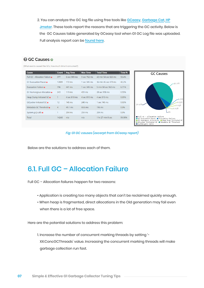2. You can analyze the GC log file using free tools like **[GCeasy](https://gceasy.io/), [Garbage Cat](https://github.com/mgm3746/garbagecat), HP**  [Jmeter](https://myenterpriselicense.hpe.com/cwp-ui/free-software/HPJMETERSW). These tools report the reasons that are triggering the GC activity. Below is the GC Causes table generated by GCeasy tool when G1 GC Log file was uploaded. Full analysis report can be [found here](https://gceasy.io/diamondgc-report.jsp?p=c2hhcmVkLzIwMjAvMDUvMjkvLS1nY19ib2kuemlwLS0xNS0xOS00OA==&channel=WEB&s=t).

#### **A GC Causes a**

(What events caused the GCs, how much time it consumed?)

| <b>Cause</b>                   | <b>Count</b>   | <b>Avg Time</b>  | <b>Max Time</b> | <b>Total Time</b>    | Time % |
|--------------------------------|----------------|------------------|-----------------|----------------------|--------|
| Full GC - Allocation Failure o | 377            | 6 sec 989 ms     | 9 sec 762 ms    | 43 min 54 sec 826 ms | 50.4%  |
| G1 Evacuation Pause o          | 12809          | $172$ ms         | 1 sec 345 ms    | 36 min 46 sec 479 ms | 42.2%  |
| Evacuation Failure o           | 796            | 441 ms           | 1 sec 345 ms    | 5 min 50 sec 963 ms  | 6.71%  |
| G1 Humongous Allocation o      | 243            | $119$ ms         | 431 ms          | 28 sec 958 ms        | 0.55%  |
| Heap Dump Initiated GC o       | $\mathbf{1}$   | 4 sec 810 ms     | 4 sec 810 ms    | 4 sec 810 ms         | 0.09%  |
| <b>GCLocker Initiated GC o</b> | 12             | $145 \text{ ms}$ | 240 ms          | 1 sec 745 ms         | 0.03%  |
| Metadata GC Threshold o        | $\overline{4}$ | 49.1 ms          | 68.6 ms         | 196 ms               | 0.0%   |
| System.gc() calls o            | 1              | 204 ms           | 204 ms          | 204 ms               | 0.0%   |
| Total                          | 14243          | n/a              | n/a             | 1 hr 27 min 8 sec    | 99.98% |



#### *Fig: G1 GC causes (excerpt from GCeasy report)*

Below are the solutions to address each of them.

### 6.1. Full GC – Allocation Failure

Full GC – Allocation failures happen for two reasons:

- Application is creating too many objects that can't be reclaimed quickly enough.
- When heap is fragmented, direct allocations in the Old generation may fail even when there is a lot of free space.

Here are the potential solutions to address this problem:

1. Increase the number of concurrent marking threads by setting '- XX:ConcGCThreads' value. Increasing the concurrent marking threads will make garbage collection run fast.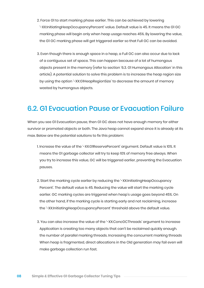- 2. Force G1 to start marking phase earlier. This can be achieved by lowering '-XX:InitiatingHeapOccupancyPercent' value. Default value is 45. It means the G1 GC marking phase will begin only when heap usage reaches 45%. By lowering the value, the G1 GC marking phase will get triggered earlier so that Full GC can be avoided.
- 3. Even though there is enough space in a heap, a Full GC can also occur due to lack of a contiguous set of space. This can happen because of a lot of humongous objects present in the memory (refer to section '6.3. G1 Humongous Allocation' in this article). A potential solution to solve this problem is to increase the heap region size by using the option '-XX:G1HeapRegionSize' to decrease the amount of memory wasted by humongous objects.

### 6.2. G1 Evacuation Pause or Evacuation Failure

When you see G1 Evacuation pause, then G1 GC does not have enough memory for either survivor or promoted objects or both. The Java heap cannot expand since it is already at its max. Below are the potential solutions to fix this problem:

- 1. Increase the value of the '-XX:G1ReservePercent' argument. Default value is 10%. It means the G1 garbage collector will try to keep 10% of memory free always. When you try to increase this value, GC will be triggered earlier, preventing the Evacuation pauses.
- 2. Start the marking cycle earlier by reducing the '-XX:InitiatingHeapOccupancy Percent'. The default value is 45. Reducing the value will start the marking cycle earlier. GC marking cycles are triggered when heap's usage goes beyond 45%. On the other hand, if the marking cycle is starting early and not reclaiming, increase the '-XX:InitiatingHeapOccupancyPercent' threshold above the default value.
- 3. You can also increase the value of the '-XX:ConcGCThreads' argument to increase Application is creating too many objects that can't be reclaimed quickly enough. the number of parallel marking threads. Increasing the concurrent marking threads When heap is fragmented, direct allocations in the Old generation may fail even will make garbage collection run fast.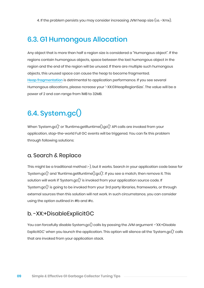4. If the problem persists you may consider increasing JVM heap size (i.e. -Xmx).

### 6.3. G1 Humongous Allocation

Any object that is more than half a region size is considered a "Humongous object". If the regions contain humongous objects, space between the last humongous object in the region and the end of the region will be unused. If there are multiple such humongous objects, this unused space can cause the heap to become fragmented. [Heap fragmentation](https://blog.gceasy.io/2020/05/31/what-is-java-heap-fragmentation/) is detrimental to application performance. If you see several Humongous allocations, please ncrease your '-XX:G1HeapRegionSize'. The value will be a power of 2 and can range from 1MB to 32MB.

### 6.4. System.gc()

When 'System.gc()' or 'Runtime.getRuntime().gc()' API calls are invoked from your application, stop-the-world Full GC events will be triggered. You can fix this problem through following solutions:

#### a. Search & Replace

This might be a traditional method :-), but it works. Search in your application code base for 'System.gc()' and 'Runtime.getRuntime().gc()'. If you see a match, then remove it. This solution will work if 'System.gc()' is invoked from your application source code. If 'System.gc()' is going to be invoked from your 3rd party libraries, frameworks, or through external sources then this solution will not work. In such circumstance, you can consider using the option outlined in #b and #c.

#### b. -XX:+DisableExplicitGC

You can forcefully disable System.gc() calls by passing the JVM argument -'XX:+Disable ExplicitGC' when you launch the application. This option will silence all the 'System.gc()' calls that are invoked from your application stack.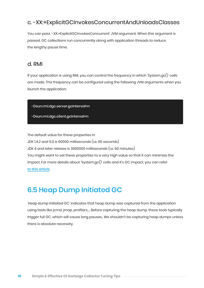### c. -XX:+ExplicitGCInvokesConcurrentAndUnloadsClasses

You can pass '-XX:+ExplicitGCInvokesConcurrent' JVM argument. When this argument is passed, GC collections run concurrently along with application threads to reduce the lengthy pause time.

#### d. RMI

If your application is using RMI, you can control the frequency in which 'System.gc()' calls are made. This frequency can be configured using the following JVM arguments when you launch the application:

-Dsun.rmi.dgc.server.gcInterval=n

-Dsun.rmi.dgc.client.gcInterval=n

The default value for these properties in JDK 1.4.2 and 5.0 is 60000 milliseconds (i.e. 60 seconds) JDK 6 and later release is 3600000 milliseconds (i.e. 60 minutes) You might want to set these properties to a very high value so that it can minimize the impact. For more details about 'System.gc()' calls and it's GC impact, you can refer [to this article](https://blog.gceasy.io/2019/06/30/who-why-what-fix-system-gc/).

### 6.5 Heap Dump Initiated GC

'Heap dump Initiated GC' indicates that heap dump was captured from the application using tools like jcmd, jmap, profilers,… Before capturing the heap dump, these tools typically trigger full GC, which will cause long pauses.. We shouldn't be capturing heap dumps unless there is absolute necessity.